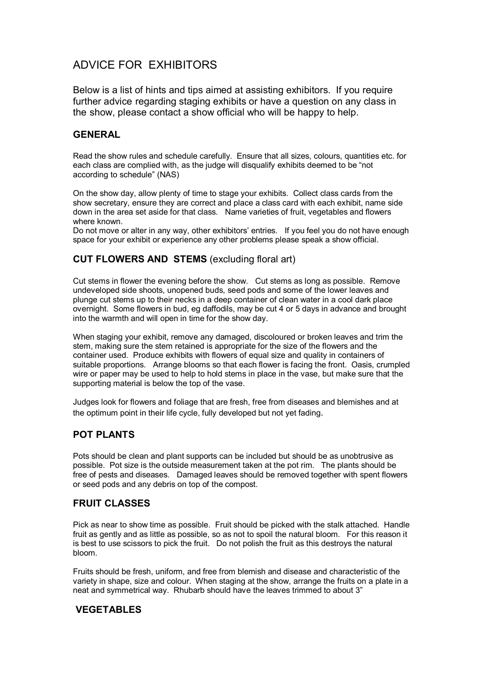# ADVICE FOR EXHIBITORS

Below is a list of hints and tips aimed at assisting exhibitors. If you require further advice regarding staging exhibits or have a question on any class in the show, please contact a show official who will be happy to help.

### GENERAL

Read the show rules and schedule carefully. Ensure that all sizes, colours, quantities etc. for each class are complied with, as the judge will disqualify exhibits deemed to be "not according to schedule" (NAS)

On the show day, allow plenty of time to stage your exhibits. Collect class cards from the show secretary, ensure they are correct and place a class card with each exhibit, name side down in the area set aside for that class. Name varieties of fruit, vegetables and flowers where known.

Do not move or alter in any way, other exhibitors' entries. If you feel you do not have enough space for your exhibit or experience any other problems please speak a show official.

### CUT FLOWERS AND STEMS (excluding floral art)

Cut stems in flower the evening before the show. Cut stems as long as possible. Remove undeveloped side shoots, unopened buds, seed pods and some of the lower leaves and plunge cut stems up to their necks in a deep container of clean water in a cool dark place overnight. Some flowers in bud, eg daffodils, may be cut 4 or 5 days in advance and brought into the warmth and will open in time for the show day.

When staging your exhibit, remove any damaged, discoloured or broken leaves and trim the stem, making sure the stem retained is appropriate for the size of the flowers and the container used. Produce exhibits with flowers of equal size and quality in containers of suitable proportions. Arrange blooms so that each flower is facing the front. Oasis, crumpled wire or paper may be used to help to hold stems in place in the vase, but make sure that the supporting material is below the top of the vase.

Judges look for flowers and foliage that are fresh, free from diseases and blemishes and at the optimum point in their life cycle, fully developed but not yet fading.

## POT PLANTS

Pots should be clean and plant supports can be included but should be as unobtrusive as possible. Pot size is the outside measurement taken at the pot rim. The plants should be free of pests and diseases. Damaged leaves should be removed together with spent flowers or seed pods and any debris on top of the compost.

### FRUIT CLASSES

Pick as near to show time as possible. Fruit should be picked with the stalk attached. Handle fruit as gently and as little as possible, so as not to spoil the natural bloom. For this reason it is best to use scissors to pick the fruit. Do not polish the fruit as this destroys the natural bloom.

Fruits should be fresh, uniform, and free from blemish and disease and characteristic of the variety in shape, size and colour. When staging at the show, arrange the fruits on a plate in a neat and symmetrical way. Rhubarb should have the leaves trimmed to about 3"

### VEGETABLES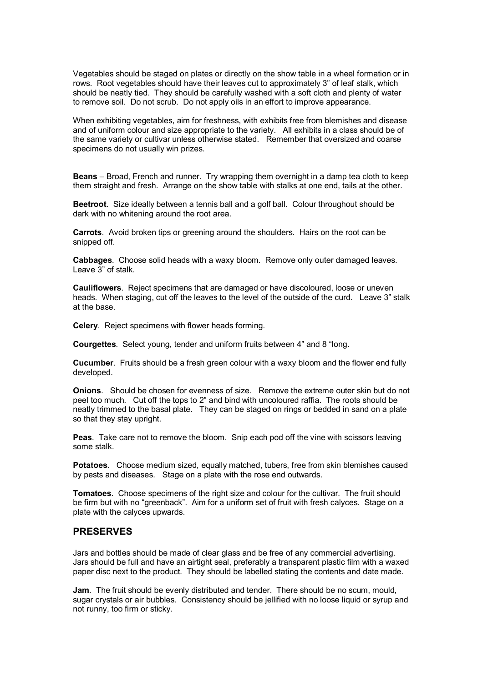Vegetables should be staged on plates or directly on the show table in a wheel formation or in rows. Root vegetables should have their leaves cut to approximately 3" of leaf stalk, which should be neatly tied. They should be carefully washed with a soft cloth and plenty of water to remove soil. Do not scrub. Do not apply oils in an effort to improve appearance.

When exhibiting vegetables, aim for freshness, with exhibits free from blemishes and disease and of uniform colour and size appropriate to the variety. All exhibits in a class should be of the same variety or cultivar unless otherwise stated. Remember that oversized and coarse specimens do not usually win prizes.

Beans – Broad, French and runner. Try wrapping them overnight in a damp tea cloth to keep them straight and fresh. Arrange on the show table with stalks at one end, tails at the other.

Beetroot. Size ideally between a tennis ball and a golf ball. Colour throughout should be dark with no whitening around the root area.

Carrots. Avoid broken tips or greening around the shoulders. Hairs on the root can be snipped off.

Cabbages. Choose solid heads with a waxy bloom. Remove only outer damaged leaves. Leave 3" of stalk.

Cauliflowers. Reject specimens that are damaged or have discoloured, loose or uneven heads. When staging, cut off the leaves to the level of the outside of the curd. Leave 3" stalk at the base.

Celery. Reject specimens with flower heads forming.

Courgettes. Select young, tender and uniform fruits between 4" and 8 "long.

Cucumber. Fruits should be a fresh green colour with a waxy bloom and the flower end fully developed.

Onions. Should be chosen for evenness of size. Remove the extreme outer skin but do not peel too much. Cut off the tops to 2" and bind with uncoloured raffia. The roots should be neatly trimmed to the basal plate. They can be staged on rings or bedded in sand on a plate so that they stay upright.

Peas. Take care not to remove the bloom. Snip each pod off the vine with scissors leaving some stalk.

Potatoes. Choose medium sized, equally matched, tubers, free from skin blemishes caused by pests and diseases. Stage on a plate with the rose end outwards.

Tomatoes. Choose specimens of the right size and colour for the cultivar. The fruit should be firm but with no "greenback". Aim for a uniform set of fruit with fresh calyces. Stage on a plate with the calyces upwards.

#### PRESERVES

Jars and bottles should be made of clear glass and be free of any commercial advertising. Jars should be full and have an airtight seal, preferably a transparent plastic film with a waxed paper disc next to the product. They should be labelled stating the contents and date made.

Jam. The fruit should be evenly distributed and tender. There should be no scum, mould, sugar crystals or air bubbles. Consistency should be jellified with no loose liquid or syrup and not runny, too firm or sticky.